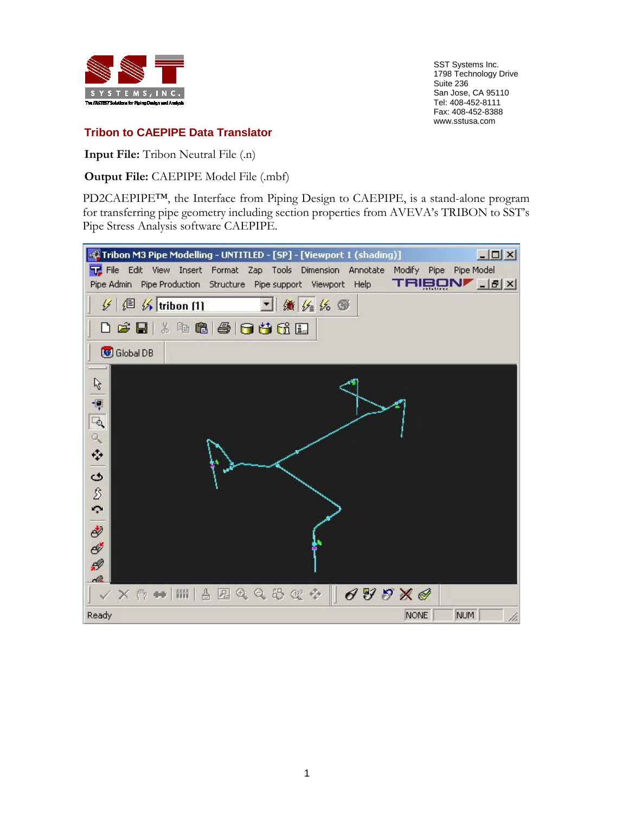

SST Systems Inc. 1798 Technology Drive Suite 236 San Jose, CA 95110 Tel: 408-452-8111 Fax: 408-452-8388 www.sstusa.com

## **Tribon to CAEPIPE Data Translator**

**Input File:** Tribon Neutral File (.n)

**Output File:** CAEPIPE Model File (.mbf)

PD2CAEPIPE<sup>TM</sup>, the Interface from Piping Design to CAEPIPE, is a stand-alone program for transferring pipe geometry including section properties from AVEVA's TRIBON to SST's Pipe Stress Analysis software CAEPIPE.

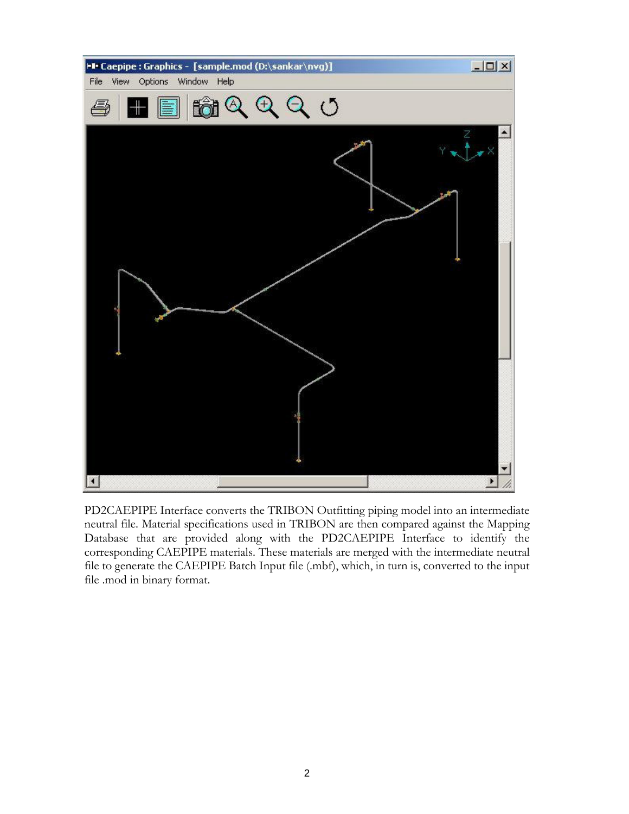

PD2CAEPIPE Interface converts the TRIBON Outfitting piping model into an intermediate neutral file. Material specifications used in TRIBON are then compared against the Mapping Database that are provided along with the PD2CAEPIPE Interface to identify the corresponding CAEPIPE materials. These materials are merged with the intermediate neutral file to generate the CAEPIPE Batch Input file (.mbf), which, in turn is, converted to the input file .mod in binary format.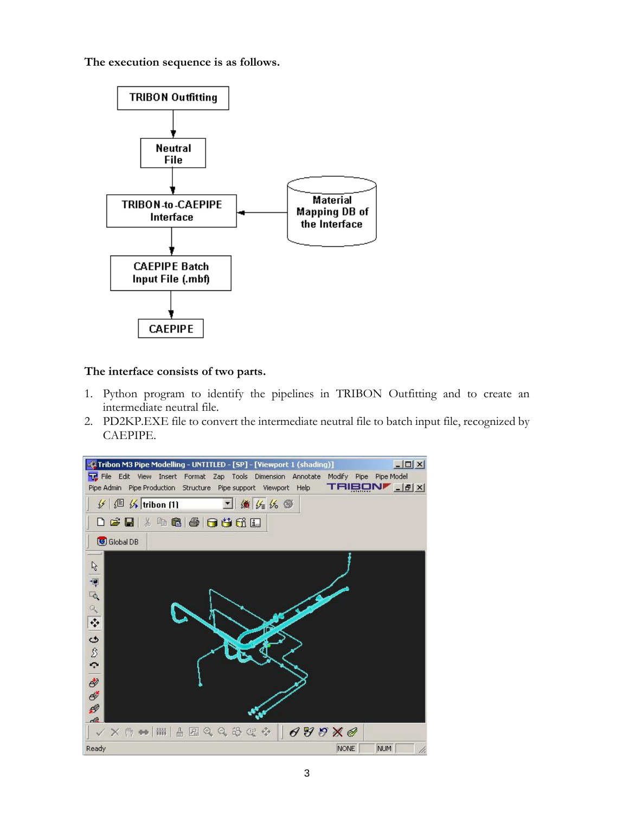**The execution sequence is as follows.**



## **The interface consists of two parts.**

- 1. Python program to identify the pipelines in TRIBON Outfitting and to create an intermediate neutral file.
- 2. PD2KP.EXE file to convert the intermediate neutral file to batch input file, recognized by CAEPIPE.